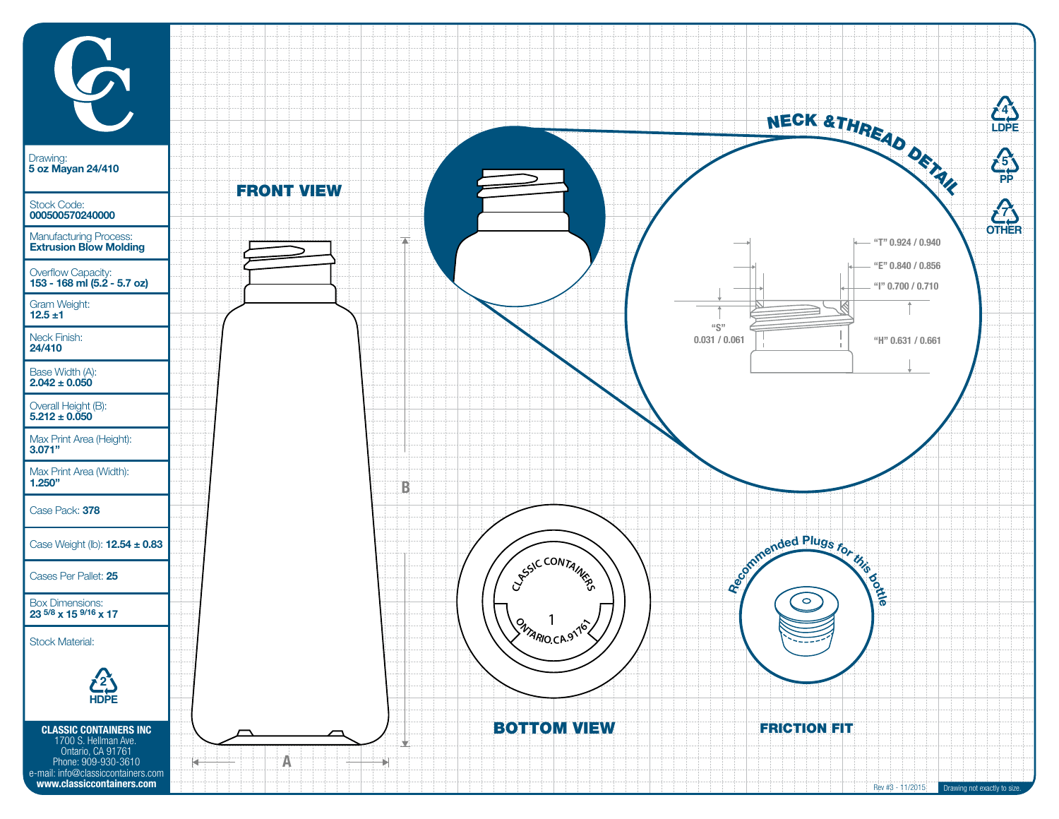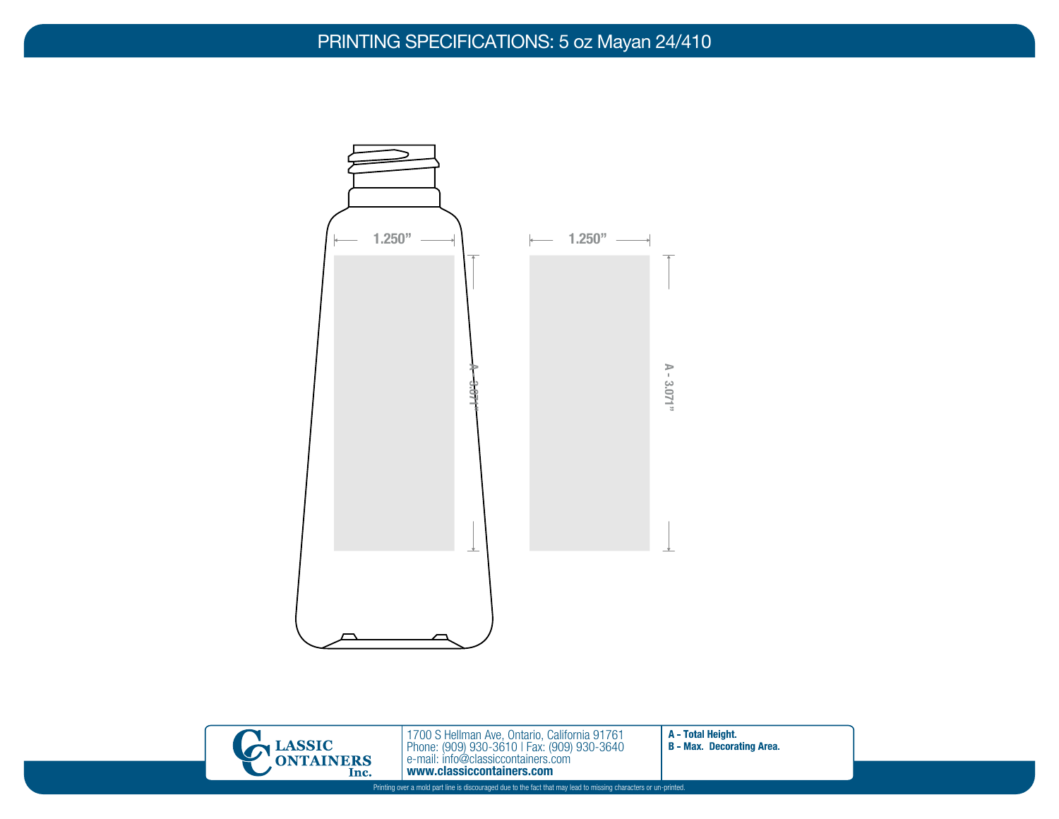## PRINTING SPECIFICATIONS: 5 oz Mayan 24/410





1700 S Hellman Ave, Ontario, California 91761 Phone: (909) 930-3610 | Fax: (909) 930-3640 e-mail: info@classiccontainers.com www.classiccontainers.com **Printing over a mold part line is discouraged due to the fact that may lead to missing characters or un-printed.**<br>
Printing over a mold part line is discouraged due to the fact that may lead to missing characters or un-pr

A - Total Height. **B** - Max. Decorating Area.